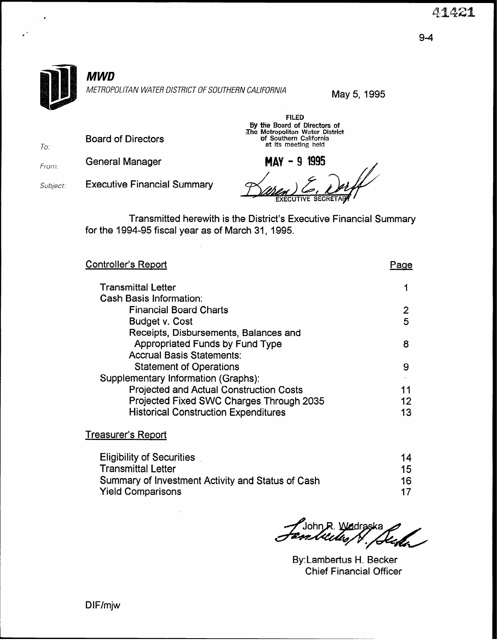

Board of Directors

From: General Manager

To.

Subject: Executive Financial Summary

MAY - 9 1995

FILED by the Board of Directors of The Metropolitan Water District<br>
of Southern California<br>
at its meeting held

Transmitted herewith is the District's Executive Financial Summary for the 1994-95 fiscal year as of March 31, 1995.

| Controller's Report                            | Paɑe |
|------------------------------------------------|------|
| <b>Transmittal Letter</b>                      |      |
| <b>Cash Basis Information:</b>                 |      |
| <b>Financial Board Charts</b>                  | 2    |
| Budget v. Cost                                 | 5    |
| Receipts, Disbursements, Balances and          |      |
| <b>Appropriated Funds by Fund Type</b>         | 8    |
| <b>Accrual Basis Statements:</b>               |      |
| <b>Statement of Operations</b>                 | 9    |
| Supplementary Information (Graphs):            |      |
| <b>Projected and Actual Construction Costs</b> | 11   |
| Projected Fixed SWC Charges Through 2035       | 12   |
| <b>Historical Construction Expenditures</b>    | 13   |
|                                                |      |

#### Treasurer's Report

| <b>Eligibility of Securities</b>                  | 14 |
|---------------------------------------------------|----|
| Transmittal Letter                                | 15 |
| Summary of Investment Activity and Status of Cash | 16 |
| Yield Comparisons                                 | 17 |

f John R. Wedraska<br>*Zan William V. Sterlin* 

By:Lambertus H. Becker Chief Financial Officer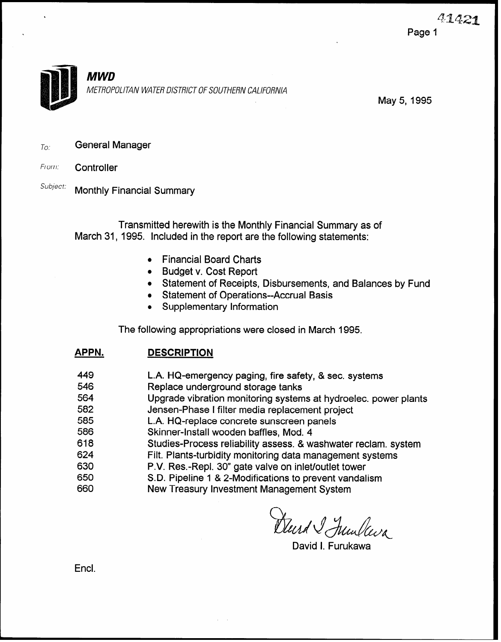

May 5,1995

 $T_{O}$ : General Manager

- From: Controller
- Subject: Monthly Financial Summary

Transmitted herewith is the Monthly Financial Summary as of March 31, 1995. Included in the report are the following statements:

- **Financial Board Charts**
- $\bullet$  Budget v. Cost Report
- Statement of Receipts, Disbursements, and Balances by Fund
- Statement of Operations--Accrual Basis
- Supplementary Information

The following appropriations were closed in March 1995.

| L.A. HQ-emergency paging, fire safety, & sec. systems<br>546<br>Replace underground storage tanks |  |
|---------------------------------------------------------------------------------------------------|--|
|                                                                                                   |  |
| 564<br>Upgrade vibration monitoring systems at hydroelec. power plants                            |  |
| 582<br>Jensen-Phase I filter media replacement project                                            |  |
| L.A. HQ-replace concrete sunscreen panels<br>585                                                  |  |
| 586<br>Skinner-Install wooden baffles, Mod. 4                                                     |  |
| 618<br>Studies-Process reliability assess. & washwater reclam. system                             |  |
| 624<br>Filt. Plants-turbidity monitoring data management systems                                  |  |
| 630<br>P.V. Res.-Repl. 30" gate valve on inlet/outlet tower                                       |  |
| S.D. Pipeline 1 & 2-Modifications to prevent vandalism<br>650                                     |  |
| New Treasury Investment Management System<br>660                                                  |  |

Durd I Junlava

David I. Furukawa

Encl.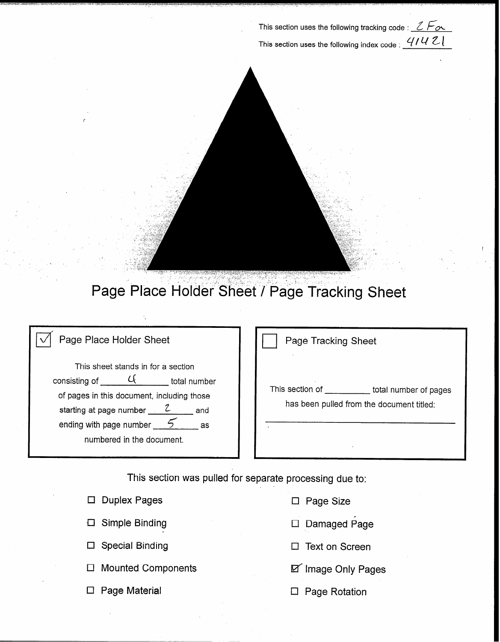This section uses the following tracking code :  $2F\alpha$ This section uses the following index code :  $41421$ 



## Page Place Holder Sheet / Page Tracking Sheet

#### Page Place Holder Sheet

This sheet stands in for a section consisting of  $\frac{C_{\text{t}}}{C_{\text{t}}}$  total number of pages in this document, including those starting at page number  $\frac{2}{\sqrt{2}}$  and ending with page number  $\frac{5}{2}$  as numbered in the document.

| Page Tracking Sheet                                          |                       |
|--------------------------------------------------------------|-----------------------|
| This section of<br>has been pulled from the document titled: | total number of pages |
| ×                                                            |                       |

This section was pulled for separate processing due to:

| $\Box$ Duplex Pages       | $\Box$ Page Size          |
|---------------------------|---------------------------|
| $\Box$ Simple Binding     | $\Box$ Damaged Page       |
| $\Box$ Special Binding    | $\Box$ Text on Screen     |
| $\Box$ Mounted Components | <b>D</b> Image Only Pages |
| $\Box$ Page Material      | <b>Page Rotation</b>      |
|                           |                           |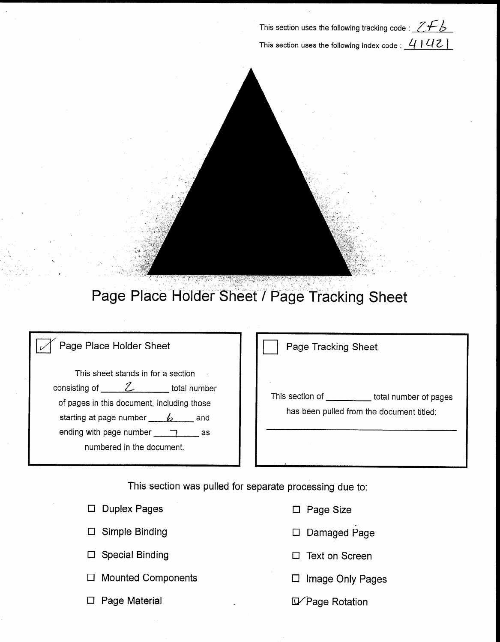This section uses the following tracking code :  $ZF\bar{B}$ This section uses the following index code :  $4142$ 



## Page Place Holder Sheet / Page Tracking Sheet

| Page Place Holder Sheet |  |
|-------------------------|--|

This sheet stands in for a section consisting of  $\frac{Z}{2}$  total number of pages in this document, including those starting at page number  $\_\_b$  and ending with page number  $\Box$ numbered in the document.

Page Tracking Sheet

This section of \_\_\_\_\_\_\_\_\_\_\_ total number of pages has been pulled from the document titled:

This section was pulled for separate processing due to:

| $\Box$ Duplex Pages       | $\Box$ Page Size       |
|---------------------------|------------------------|
| $\Box$ Simple Binding     | $\Box$ Damaged Page    |
| $\Box$ Special Binding    | $\Box$ Text on Screen  |
| $\Box$ Mounted Components | Image Only Pages       |
| <b>Page Material</b>      | <b>D</b> Page Rotation |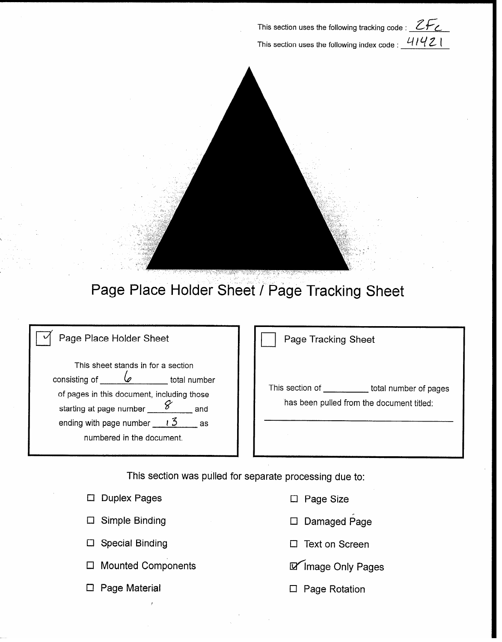This section uses the following tracking code :  $ZF_Z$ This section uses the following index code :  $41421$ 



### Page Place Holder Sheet / Page Tracking Sheet

| Page Place Holder Sheet |
|-------------------------|
|                         |

This sheet stands in for a section consisting of  $\sqrt{a}$  total number of pages in this document, including those<br>starting at page number starting at page number  $8^{7}$  and ending with page number  $\frac{13}{2}$  as numbered in the document.

Page Tracking Sheet

This section of \_\_\_\_\_\_\_\_\_\_\_ total number of pages has been pulled from the document titled:

This section was pulled for separate processing due to:

□ Duplex Pages Cl Page Size

Cl Simple Binding

Cl Special Binding

 $\square$  Mounted Components

El Page Material

- 
- Cl Damaged Page
- □ Text on Screen
- **D** Image Only Pages
- □ Page Rotation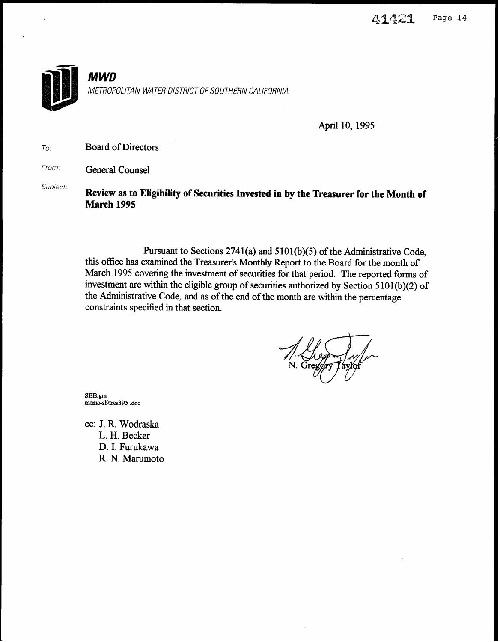

April 10,1995

To: Board of Directors

From. General Counsel

Subject: Review as to Eligibility of Securities Invested in by the Treasurer for the Month of March 1995

> Pursuant to Sections  $2741(a)$  and  $5101(b)(5)$  of the Administrative Code, this office has examined the Treasurer's Monthly Report to the Board for the month of March 1995 covering the investment of securities for that period. The reported forms of investment are within the eligible group of securities authorized by Section 5 101(b)(2) of the Administrative Code, and as of the end of the month are within the percentage constraints specified in that section.

SBB:gm memo-sb\tres395 .doc

cc: J. R. Wodraska L. H. Becker D. I. Furukawa R. N. Marumoto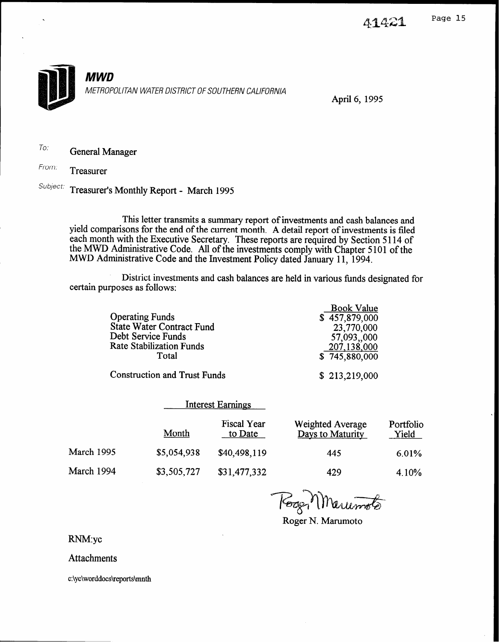

April 6, 1995

To: General Manager

From: Treasurer

Subject: Treasurer's Monthly Report - March 1995

This letter transmits a summary report of investments and cash balances and yield comparisons for the end of the current month. A detail report of investments is filed each month with the Executive Secretary. the MWD Administrative Code. These reports are required by Section 5 114 of All of the investments comply with Chapter 5 101 of the MWD Administrative Code and the Investment Policy dated January 11, 1994.

District investments and cash balances are held in various funds designated for certain purposes as follows:

|                                     | <b>Book Value</b> |
|-------------------------------------|-------------------|
| <b>Operating Funds</b>              | \$457,879,000     |
| <b>State Water Contract Fund</b>    | 23,770,000        |
| Debt Service Funds                  | 57,093,,000       |
| <b>Rate Stabilization Funds</b>     | 207,138,000       |
| Total                               | \$745,880,000     |
| <b>Construction and Trust Funds</b> | \$213,219,000     |

|            | <b>Interest Earnings</b> |                               |                                      |                    |
|------------|--------------------------|-------------------------------|--------------------------------------|--------------------|
|            | Month                    | <b>Fiscal Year</b><br>to Date | Weighted Average<br>Days to Maturity | Portfolio<br>Yield |
| March 1995 | \$5,054,938              | \$40,498,119                  | 445                                  | 6.01%              |
| March 1994 | \$3,505,727              | \$31,477,332                  | 429                                  | 4.10%              |

Kogy Marumote

Roger N. Marumoto

RNM:yc

**Attachments** 

c:\yc\worddocs\reports\mnth